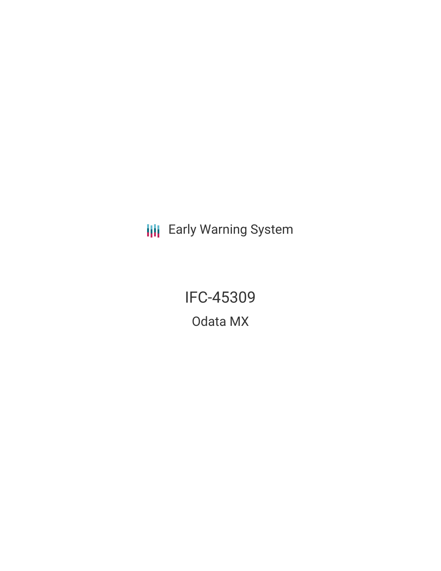**III** Early Warning System

IFC-45309 Odata MX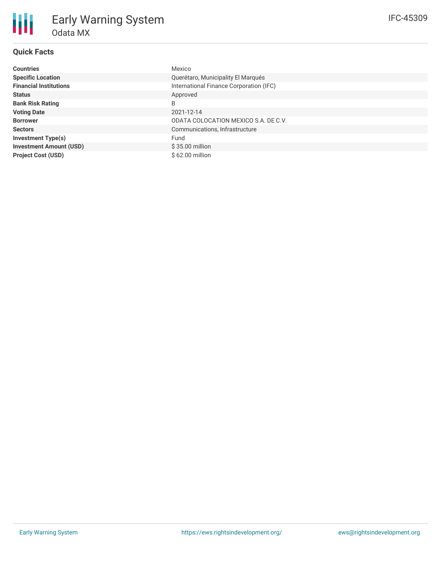# **Quick Facts**

| <b>Countries</b>               | Mexico                                  |
|--------------------------------|-----------------------------------------|
| <b>Specific Location</b>       | Querétaro, Municipality El Marqués      |
| <b>Financial Institutions</b>  | International Finance Corporation (IFC) |
| <b>Status</b>                  | Approved                                |
| <b>Bank Risk Rating</b>        | B                                       |
| <b>Voting Date</b>             | 2021-12-14                              |
| <b>Borrower</b>                | ODATA COLOCATION MEXICO S.A. DE C.V.    |
| <b>Sectors</b>                 | Communications, Infrastructure          |
| <b>Investment Type(s)</b>      | Fund                                    |
| <b>Investment Amount (USD)</b> | $$35.00$ million                        |
| <b>Project Cost (USD)</b>      | $$62.00$ million                        |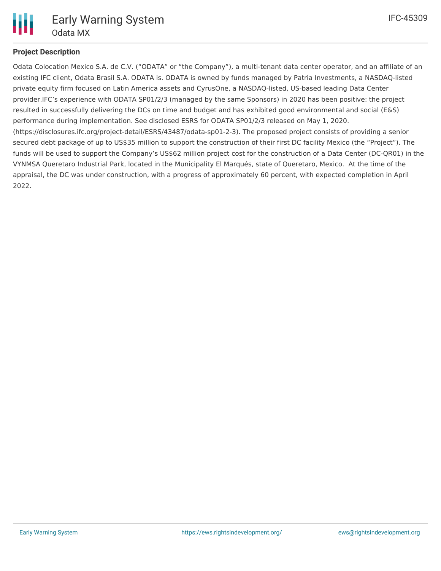

# **Project Description**

Odata Colocation Mexico S.A. de C.V. ("ODATA" or "the Company"), a multi-tenant data center operator, and an affiliate of an existing IFC client, Odata Brasil S.A. ODATA is. ODATA is owned by funds managed by Patria Investments, a NASDAQ-listed private equity firm focused on Latin America assets and CyrusOne, a NASDAQ-listed, US-based leading Data Center provider.IFC's experience with ODATA SP01/2/3 (managed by the same Sponsors) in 2020 has been positive: the project resulted in successfully delivering the DCs on time and budget and has exhibited good environmental and social (E&S) performance during implementation. See disclosed ESRS for ODATA SP01/2/3 released on May 1, 2020. (https://disclosures.ifc.org/project-detail/ESRS/43487/odata-sp01-2-3). The proposed project consists of providing a senior secured debt package of up to US\$35 million to support the construction of their first DC facility Mexico (the "Project"). The funds will be used to support the Company's US\$62 million project cost for the construction of a Data Center (DC-QR01) in the VYNMSA Queretaro Industrial Park, located in the Municipality El Marqués, state of Queretaro, Mexico. At the time of the appraisal, the DC was under construction, with a progress of approximately 60 percent, with expected completion in April 2022.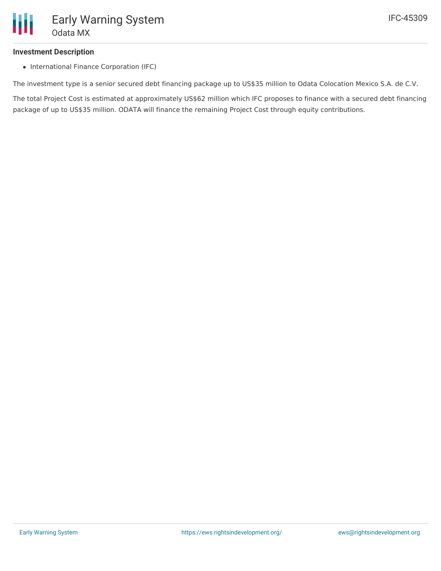### **Investment Description**

• International Finance Corporation (IFC)

The investment type is a senior secured debt financing package up to US\$35 million to Odata Colocation Mexico S.A. de C.V.

The total Project Cost is estimated at approximately US\$62 million which IFC proposes to finance with a secured debt financing package of up to US\$35 million. ODATA will finance the remaining Project Cost through equity contributions.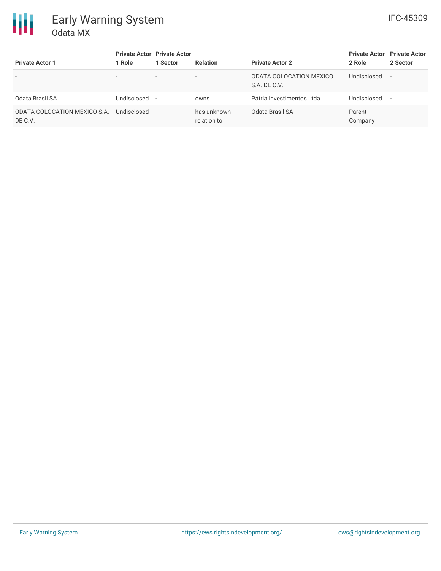

| <b>Private Actor 1</b>                  | <b>Private Actor Private Actor</b><br>Role | 1 Sector                 | <b>Relation</b>            | <b>Private Actor 2</b>                  | <b>Private Actor</b><br>2 Role | <b>Private Actor</b><br>2 Sector |
|-----------------------------------------|--------------------------------------------|--------------------------|----------------------------|-----------------------------------------|--------------------------------|----------------------------------|
| $\overline{\phantom{a}}$                | $\overline{\phantom{a}}$                   | $\overline{\phantom{a}}$ |                            | ODATA COLOCATION MEXICO<br>S.A. DE C.V. | Undisclosed                    | $\overline{\phantom{a}}$         |
| Odata Brasil SA                         | Undisclosed -                              |                          | owns                       | Pátria Investimentos Ltda               | Undisclosed                    | $\overline{\phantom{a}}$         |
| ODATA COLOCATION MEXICO S.A.<br>DE C.V. | Undisclosed -                              |                          | has unknown<br>relation to | Odata Brasil SA                         | Parent<br>Company              | $\overline{\phantom{a}}$         |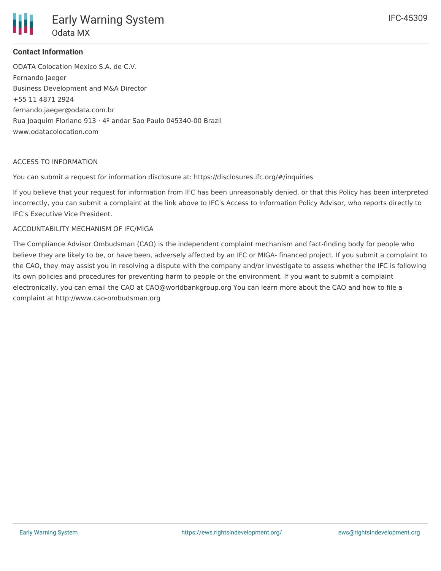

### **Contact Information**

ODATA Colocation Mexico S.A. de C.V. Fernando Jaeger Business Development and M&A Director +55 11 4871 2924 fernando.jaeger@odata.com.br Rua Joaquim Floriano 913 · 4º andar Sao Paulo 045340-00 Brazil www.odatacolocation.com

#### ACCESS TO INFORMATION

You can submit a request for information disclosure at: https://disclosures.ifc.org/#/inquiries

If you believe that your request for information from IFC has been unreasonably denied, or that this Policy has been interpreted incorrectly, you can submit a complaint at the link above to IFC's Access to Information Policy Advisor, who reports directly to IFC's Executive Vice President.

#### ACCOUNTABILITY MECHANISM OF IFC/MIGA

The Compliance Advisor Ombudsman (CAO) is the independent complaint mechanism and fact-finding body for people who believe they are likely to be, or have been, adversely affected by an IFC or MIGA- financed project. If you submit a complaint to the CAO, they may assist you in resolving a dispute with the company and/or investigate to assess whether the IFC is following its own policies and procedures for preventing harm to people or the environment. If you want to submit a complaint electronically, you can email the CAO at CAO@worldbankgroup.org You can learn more about the CAO and how to file a complaint at http://www.cao-ombudsman.org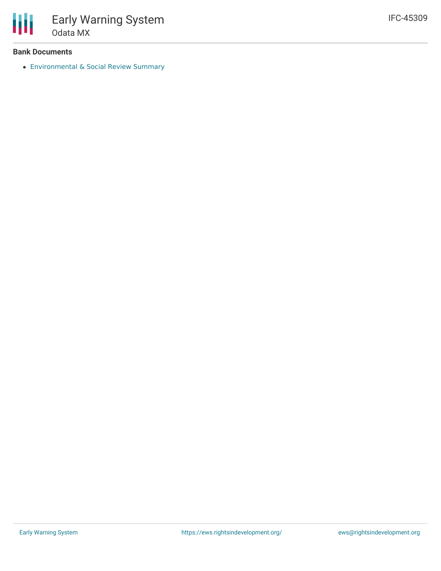

#### **Bank Documents**

[Environmental](https://disclosures.ifc.org/project-detail/ESRS/45309/odata-mx) & Social Review Summary